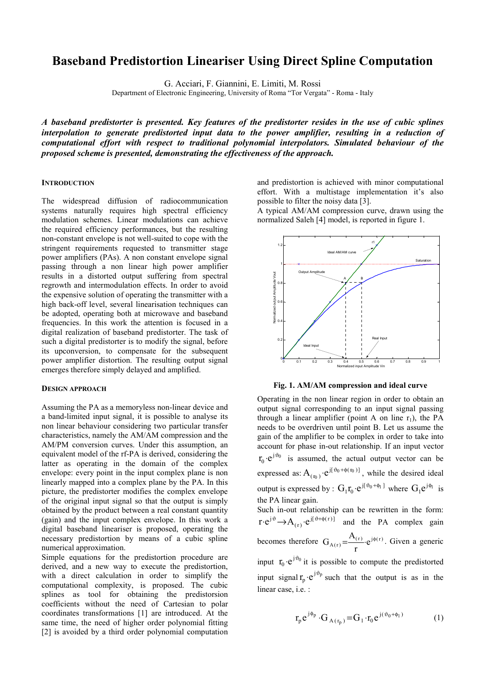# **Baseband Predistortion Lineariser Using Direct Spline Computation**

G. Acciari, F. Giannini, E. Limiti, M. Rossi

Department of Electronic Engineering, University of Roma "Tor Vergata" - Roma - Italy

*A baseband predistorter is presented. Key features of the predistorter resides in the use of cubic splines interpolation to generate predistorted input data to the power amplifier, resulting in a reduction of computational effort with respect to traditional polynomial interpolators. Simulated behaviour of the proposed scheme is presented, demonstrating the effectiveness of the approach.* 

## **INTRODUCTION**

The widespread diffusion of radiocommunication systems naturally requires high spectral efficiency modulation schemes. Linear modulations can achieve the required efficiency performances, but the resulting non-constant envelope is not well-suited to cope with the stringent requirements requested to transmitter stage power amplifiers (PAs). A non constant envelope signal passing through a non linear high power amplifier results in a distorted output suffering from spectral regrowth and intermodulation effects. In order to avoid the expensive solution of operating the transmitter with a high back-off level, several linearisation techniques can be adopted, operating both at microwave and baseband frequencies. In this work the attention is focused in a digital realization of baseband predistorter. The task of such a digital predistorter is to modify the signal, before its upconversion, to compensate for the subsequent power amplifier distortion. The resulting output signal emerges therefore simply delayed and amplified.

## **DESIGN APPROACH**

Assuming the PA as a memoryless non-linear device and a band-limited input signal, it is possible to analyse its non linear behaviour considering two particular transfer characteristics, namely the AM/AM compression and the AM/PM conversion curves. Under this assumption, an equivalent model of the rf-PA is derived, considering the latter as operating in the domain of the complex envelope: every point in the input complex plane is non linearly mapped into a complex plane by the PA. In this picture, the predistorter modifies the complex envelope of the original input signal so that the output is simply obtained by the product between a real constant quantity (gain) and the input complex envelope. In this work a digital baseband lineariser is proposed, operating the necessary predistortion by means of a cubic spline numerical approximation.

Simple equations for the predistortion procedure are derived, and a new way to execute the predistortion, with a direct calculation in order to simplify the computational complexity, is proposed. The cubic splines as tool for obtaining the predistorsion coefficients without the need of Cartesian to polar coordinates transformations [1] are introduced. At the same time, the need of higher order polynomial fitting [2] is avoided by a third order polynomial computation and predistortion is achieved with minor computational effort. With a multistage implementation it's also possible to filter the noisy data [3].

A typical AM/AM compression curve, drawn using the normalized Saleh [4] model, is reported in figure 1.



**Fig. 1. AM/AM compression and ideal curve** 

Operating in the non linear region in order to obtain an output signal corresponding to an input signal passing through a linear amplifier (point A on line  $r_1$ ), the PA needs to be overdriven until point B. Let us assume the gain of the amplifier to be complex in order to take into account for phase in-out relationship. If an input vector  $r_0 \cdot e^{j\vartheta_0}$  is assumed, the actual output vector can be expressed as:  $A_{(r_0)} \cdot e^{j[\vartheta_0 + \phi(r_0)]}$ , while the desired ideal output is expressed by :  $G_1r_0 \cdot e^{j[\vartheta_0 + \varphi_1]}$  where  $G_1 e^{j\varphi_1}$  is the PA linear gain. Such in-out relationship can be rewritten in the form:  $r \cdot e^{j\vartheta} \rightarrow A_{(r)} \cdot e^{j[\vartheta + \varphi(r)]}$  and the PA complex gain becomes therefore  $G_{A(r)} = \frac{A(r)}{r} e^{j\phi(r)}$  $G_{A(r)} = \frac{A_{(r)}}{2}$ r  $=$  $\frac{1}{(r)} e^{j\phi(r)}$ . Given a generic input  $r_0 \cdot e^{j\vartheta_0}$  it is possible to compute the predistorted input signal  $r_p \cdot e^{j\vartheta_p}$  such that the output is as in the linear case, i.e. :

$$
r_p e^{j\phi_p} \cdot G_{A(r_p)} = G_1 \cdot r_0 e^{j(\vartheta_0 + \varphi_1)} \tag{1}
$$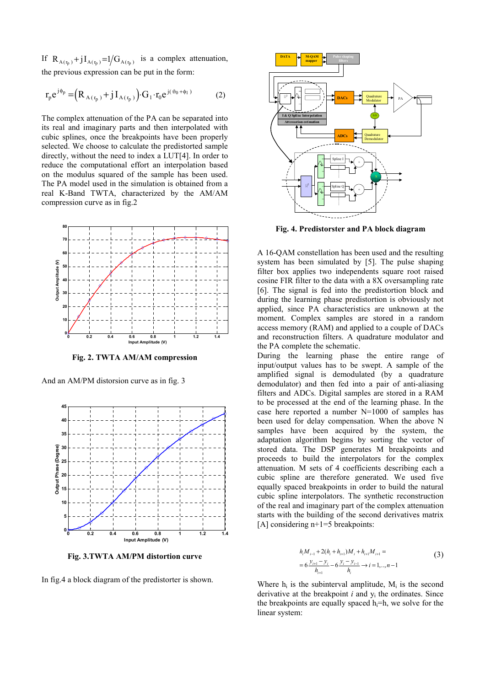If  $R_{A(r_p)} + jI_{A(r_p)} = 1/G_{A(r_p)}$  is a complex attenuation, the previous expression can be put in the form:

$$
r_{p}e^{j\phi_{p}} = (R_{A(r_{p})} + jI_{A(r_{p})}) \cdot G_{1} \cdot r_{0}e^{j(\vartheta_{0} + \phi_{1})}
$$
(2)

The complex attenuation of the PA can be separated into its real and imaginary parts and then interpolated with cubic splines, once the breakpoints have been properly selected. We choose to calculate the predistorted sample directly, without the need to index a LUT[4]. In order to reduce the computational effort an interpolation based on the modulus squared of the sample has been used. The PA model used in the simulation is obtained from a real K-Band TWTA, characterized by the AM/AM compression curve as in fig.2



**Fig. 2. TWTA AM/AM compression** 

And an AM/PM distorsion curve as in fig. 3



**Fig. 3.TWTA AM/PM distortion curve** 

In fig.4 a block diagram of the predistorter is shown.



**Fig. 4. Predistorster and PA block diagram** 

A 16-QAM constellation has been used and the resulting system has been simulated by [5]. The pulse shaping filter box applies two independents square root raised cosine FIR filter to the data with a 8X oversampling rate [6]. The signal is fed into the predistortion block and during the learning phase predistortion is obviously not applied, since PA characteristics are unknown at the moment. Complex samples are stored in a random access memory (RAM) and applied to a couple of DACs and reconstruction filters. A quadrature modulator and the PA complete the schematic.

During the learning phase the entire range of input/output values has to be swept. A sample of the amplified signal is demodulated (by a quadrature demodulator) and then fed into a pair of anti-aliasing filters and ADCs. Digital samples are stored in a RAM to be processed at the end of the learning phase. In the case here reported a number N=1000 of samples has been used for delay compensation. When the above N samples have been acquired by the system, the adaptation algorithm begins by sorting the vector of stored data. The DSP generates M breakpoints and proceeds to build the interpolators for the complex attenuation. M sets of 4 coefficients describing each a cubic spline are therefore generated. We used five equally spaced breakpoints in order to build the natural cubic spline interpolators. The synthetic reconstruction of the real and imaginary part of the complex attenuation starts with the building of the second derivatives matrix [A] considering n+1=5 breakpoints:

$$
h_i M_{i-1} + 2(h_i + h_{i+1}) M_i + h_{i+1} M_{i+1} =
$$
  
=  $6 \frac{y_{i+1} - y_i}{h_{i+1}} - 6 \frac{y_i - y_{i-1}}{h_i} \rightarrow i = 1, ..., n-1$  (3)

Where  $h_i$  is the subinterval amplitude,  $M_i$  is the second derivative at the breakpoint *i* and yi the ordinates. Since the breakpoints are equally spaced  $h_i=h$ , we solve for the linear system: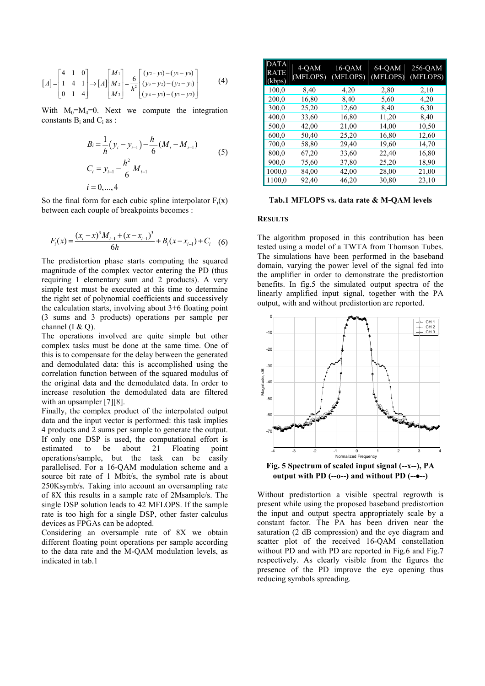$$
[A] = \begin{bmatrix} 4 & 1 & 0 \\ 1 & 4 & 1 \\ 0 & 1 & 4 \end{bmatrix} \Rightarrow [A] \begin{bmatrix} M_1 \\ M_2 \\ M_3 \end{bmatrix} = \frac{6}{h^2} \begin{bmatrix} (y_2 - y_1) - (y_1 - y_0) \\ (y_3 - y_2) - (y_2 - y_1) \\ (y_4 - y_3) - (y_3 - y_2) \end{bmatrix}
$$
 (4)

With  $M_0=M_4=0$ . Next we compute the integration constants  $B_i$  and  $C_i$  as :

$$
B_{i} = \frac{1}{h} (y_{i} - y_{i-1}) - \frac{h}{6} (M_{i} - M_{i-1})
$$
  
\n
$$
C_{i} = y_{i-1} - \frac{h^{2}}{6} M_{i-1}
$$
  
\n
$$
i = 0, ..., 4
$$
\n(5)

So the final form for each cubic spline interpolator  $F_i(x)$ between each couple of breakpoints becomes :

$$
F_i(x) = \frac{(x_i - x)^3 M_{i-1} + (x - x_{i-1})^3}{6h} + B_i(x - x_{i-1}) + C_i \quad (6)
$$

The predistortion phase starts computing the squared magnitude of the complex vector entering the PD (thus requiring 1 elementary sum and 2 products). A very simple test must be executed at this time to determine the right set of polynomial coefficients and successively the calculation starts, involving about 3+6 floating point (3 sums and 3 products) operations per sample per channel ( $I & O$ ).

The operations involved are quite simple but other complex tasks must be done at the same time. One of this is to compensate for the delay between the generated and demodulated data: this is accomplished using the correlation function between of the squared modulus of the original data and the demodulated data. In order to increase resolution the demodulated data are filtered with an upsampler [7][8].

Finally, the complex product of the interpolated output data and the input vector is performed: this task implies 4 products and 2 sums per sample to generate the output. If only one DSP is used, the computational effort is estimated to be about 21 Floating point operations/sample, but the task can be easily parallelised. For a 16-QAM modulation scheme and a source bit rate of 1 Mbit/s, the symbol rate is about 250Ksymb/s. Taking into account an oversampling rate of 8X this results in a sample rate of 2Msample/s. The single DSP solution leads to 42 MFLOPS. If the sample rate is too high for a single DSP, other faster calculus devices as FPGAs can be adopted.

Considering an oversample rate of 8X we obtain different floating point operations per sample according to the data rate and the M-QAM modulation levels, as indicated in tab.1

| <b>DATA</b>           | 4-QAM    | 16-QAM   | 64-OAM   | $256 - QAM$ |
|-----------------------|----------|----------|----------|-------------|
| <b>RATE</b><br>(kbps) | (MFLOPS) | (MFLOPS) | (MFLOPS) | (MFLOPS)    |
| 100,0                 | 8,40     | 4,20     | 2,80     | 2,10        |
| 200,0                 | 16,80    | 8,40     | 5,60     | 4,20        |
| 300,0                 | 25,20    | 12,60    | 8,40     | 6,30        |
| 400,0                 | 33,60    | 16,80    | 11,20    | 8,40        |
| 500,0                 | 42,00    | 21,00    | 14,00    | 10,50       |
| 600,0                 | 50,40    | 25,20    | 16,80    | 12,60       |
| 700,0                 | 58,80    | 29,40    | 19,60    | 14,70       |
| 800,0                 | 67,20    | 33,60    | 22,40    | 16,80       |
| 900,0                 | 75,60    | 37,80    | 25,20    | 18.90       |
| 1000,0                | 84,00    | 42,00    | 28,00    | 21,00       |
| 1100,0                | 92.40    | 46.20    | 30.80    | 23,10       |

## **Tab.1 MFLOPS vs. data rate & M-QAM levels**

#### **RESULTS**

The algorithm proposed in this contribution has been tested using a model of a TWTA from Thomson Tubes. The simulations have been performed in the baseband domain, varying the power level of the signal fed into the amplifier in order to demonstrate the predistortion benefits. In fig.5 the simulated output spectra of the linearly amplified input signal, together with the PA output, with and without predistortion are reported.



**Fig. 5 Spectrum of scaled input signal (--x--), PA output with PD (--o--) and without PD (--**•**--)** 

Without predistortion a visible spectral regrowth is present while using the proposed baseband predistortion the input and output spectra appropriately scale by a constant factor. The PA has been driven near the saturation (2 dB compression) and the eye diagram and scatter plot of the received 16-QAM constellation without PD and with PD are reported in Fig.6 and Fig.7 respectively. As clearly visible from the figures the presence of the PD improve the eye opening thus reducing symbols spreading.